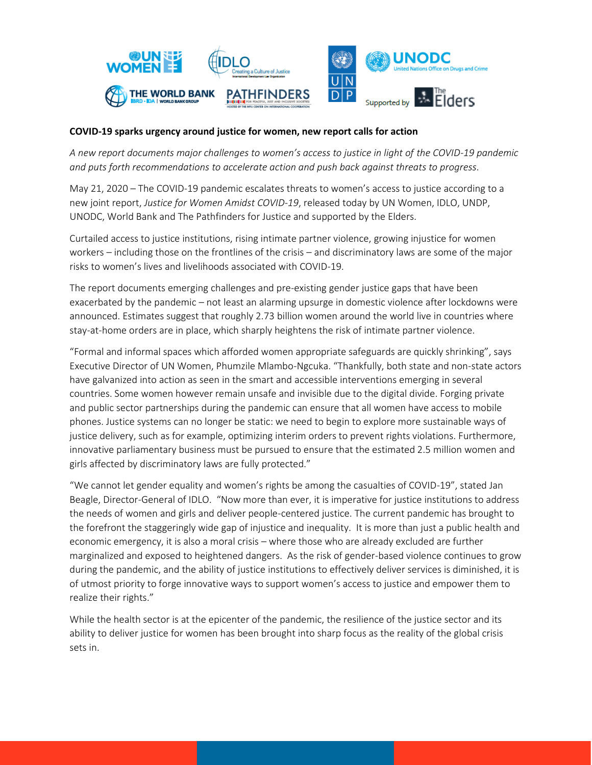

## **COVID-19 sparks urgency around justice for women, new report calls for action**

*A new report documents major challenges to women's access to justice in light of the COVID-19 pandemic and puts forth recommendations to accelerate action and push back against threats to progress.* 

May 21, 2020 – The COVID-19 pandemic escalates threats to women's access to justice according to a new joint report, *Justice for Women Amidst COVID-19*, released today by UN Women, IDLO, UNDP, UNODC, World Bank and The Pathfinders for Justice and supported by the Elders.

Curtailed access to justice institutions, rising intimate partner violence, growing injustice for women workers – including those on the frontlines of the crisis – and discriminatory laws are some of the major risks to women's lives and livelihoods associated with COVID-19.

The report documents emerging challenges and pre-existing gender justice gaps that have been exacerbated by the pandemic – not least an alarming upsurge in domestic violence after lockdowns were announced. Estimates suggest that roughly 2.73 billion women around the world live in countries where stay-at-home orders are in place, which sharply heightens the risk of intimate partner violence.

"Formal and informal spaces which afforded women appropriate safeguards are quickly shrinking", says Executive Director of UN Women, Phumzile Mlambo-Ngcuka. "Thankfully, both state and non-state actors have galvanized into action as seen in the smart and accessible interventions emerging in several countries. Some women however remain unsafe and invisible due to the digital divide. Forging private and public sector partnerships during the pandemic can ensure that all women have access to mobile phones. Justice systems can no longer be static: we need to begin to explore more sustainable ways of justice delivery, such as for example, optimizing interim orders to prevent rights violations. Furthermore, innovative parliamentary business must be pursued to ensure that the estimated 2.5 million women and girls affected by discriminatory laws are fully protected."

"We cannot let gender equality and women's rights be among the casualties of COVID-19", stated Jan Beagle, Director-General of IDLO. "Now more than ever, it is imperative for justice institutions to address the needs of women and girls and deliver people-centered justice. The current pandemic has brought to the forefront the staggeringly wide gap of injustice and inequality. It is more than just a public health and economic emergency, it is also a moral crisis – where those who are already excluded are further marginalized and exposed to heightened dangers. As the risk of gender-based violence continues to grow during the pandemic, and the ability of justice institutions to effectively deliver services is diminished, it is of utmost priority to forge innovative ways to support women's access to justice and empower them to realize their rights."

While the health sector is at the epicenter of the pandemic, the resilience of the justice sector and its ability to deliver justice for women has been brought into sharp focus as the reality of the global crisis sets in.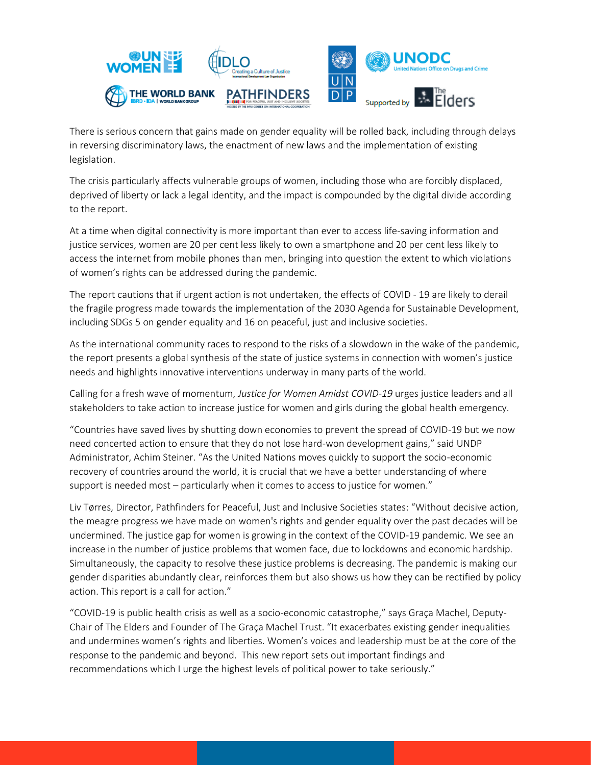

There is serious concern that gains made on gender equality will be rolled back, including through delays in reversing discriminatory laws, the enactment of new laws and the implementation of existing legislation.

The crisis particularly affects vulnerable groups of women, including those who are forcibly displaced, deprived of liberty or lack a legal identity, and the impact is compounded by the digital divide according to the report.

At a time when digital connectivity is more important than ever to access life-saving information and justice services, women are 20 per cent less likely to own a smartphone and 20 per cent less likely to access the internet from mobile phones than men, bringing into question the extent to which violations of women's rights can be addressed during the pandemic.

The report cautions that if urgent action is not undertaken, the effects of COVID - 19 are likely to derail the fragile progress made towards the implementation of the 2030 Agenda for Sustainable Development, including SDGs 5 on gender equality and 16 on peaceful, just and inclusive societies.

As the international community races to respond to the risks of a slowdown in the wake of the pandemic, the report presents a global synthesis of the state of justice systems in connection with women's justice needs and highlights innovative interventions underway in many parts of the world.

Calling for a fresh wave of momentum, *Justice for Women Amidst COVID-19* urges justice leaders and all stakeholders to take action to increase justice for women and girls during the global health emergency.

"Countries have saved lives by shutting down economies to prevent the spread of COVID-19 but we now need concerted action to ensure that they do not lose hard-won development gains," said UNDP Administrator, Achim Steiner. "As the United Nations moves quickly to support the socio-economic recovery of countries around the world, it is crucial that we have a better understanding of where support is needed most – particularly when it comes to access to justice for women."

Liv Tørres, Director, Pathfinders for Peaceful, Just and Inclusive Societies states: "Without decisive action, the meagre progress we have made on women's rights and gender equality over the past decades will be undermined. The justice gap for women is growing in the context of the COVID-19 pandemic. We see an increase in the number of justice problems that women face, due to lockdowns and economic hardship. Simultaneously, the capacity to resolve these justice problems is decreasing. The pandemic is making our gender disparities abundantly clear, reinforces them but also shows us how they can be rectified by policy action. This report is a call for action."

"COVID-19 is public health crisis as well as a socio-economic catastrophe," says Graça Machel, Deputy-Chair of The Elders and Founder of The Graça Machel Trust. "It exacerbates existing gender inequalities and undermines women's rights and liberties. Women's voices and leadership must be at the core of the response to the pandemic and beyond. This new report sets out important findings and recommendations which I urge the highest levels of political power to take seriously."